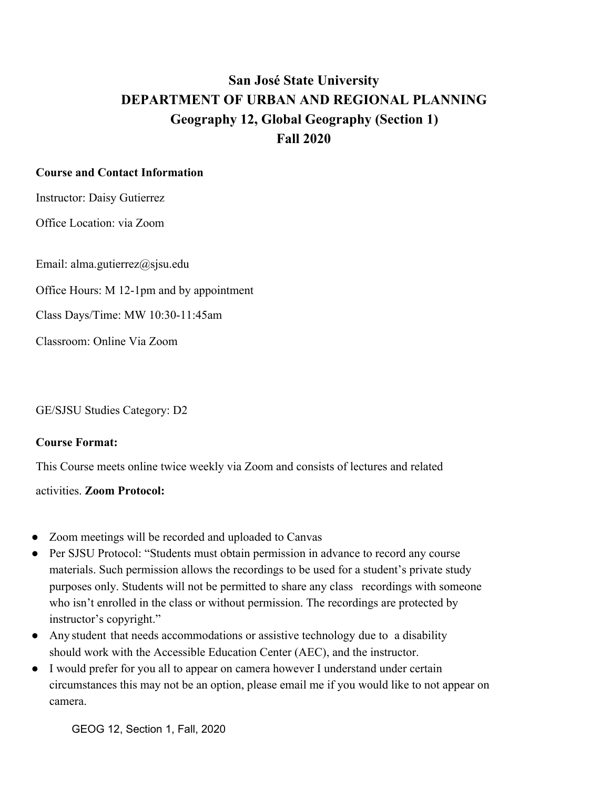# **San José State University DEPARTMENT OF URBAN AND REGIONAL PLANNING Geography 12, Global Geography (Section 1) Fall 2020**

#### **Course and Contact Information**

Instructor: Daisy Gutierrez

Office Location: via Zoom

Email: alma.gutierrez@sjsu.edu

Office Hours: M 12-1pm and by appointment

Class Days/Time: MW 10:30-11:45am

Classroom: Online Via Zoom

GE/SJSU Studies Category: D2

#### **Course Format:**

This Course meets online twice weekly via Zoom and consists of lectures and related

activities. **Zoom Protocol:** 

- Zoom meetings will be recorded and uploaded to Canvas
- Per SJSU Protocol: "Students must obtain permission in advance to record any course materials. Such permission allows the recordings to be used for a student's private study purposes only. Students will not be permitted to share any class recordings with someone who isn't enrolled in the class or without permission. The recordings are protected by instructor's copyright."
- Any student that needs accommodations or assistive technology due to a disability should work with the Accessible Education Center (AEC), and the instructor.
- I would prefer for you all to appear on camera however I understand under certain circumstances this may not be an option, please email me if you would like to not appear on camera.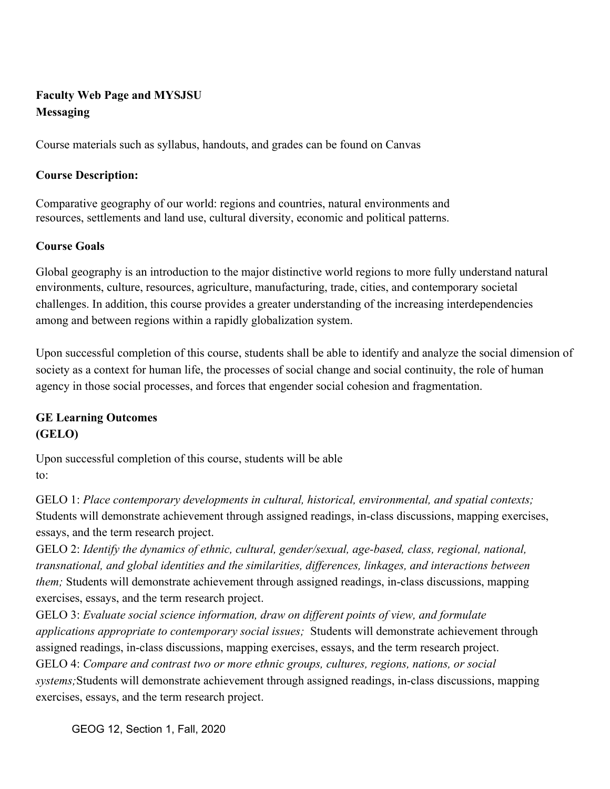# **Faculty Web Page and MYSJSU Messaging**

Course materials such as syllabus, handouts, and grades can be found on Canvas

#### **Course Description:**

Comparative geography of our world: regions and countries, natural environments and resources, settlements and land use, cultural diversity, economic and political patterns.

### **Course Goals**

Global geography is an introduction to the major distinctive world regions to more fully understand natural environments, culture, resources, agriculture, manufacturing, trade, cities, and contemporary societal challenges. In addition, this course provides a greater understanding of the increasing interdependencies among and between regions within a rapidly globalization system.

Upon successful completion of this course, students shall be able to identify and analyze the social dimension of society as a context for human life, the processes of social change and social continuity, the role of human agency in those social processes, and forces that engender social cohesion and fragmentation.

# **GE Learning Outcomes (GELO)**

Upon successful completion of this course, students will be able to:

GELO 1: *Place contemporary developments in cultural, historical, environmental, and spatial contexts;* Students will demonstrate achievement through assigned readings, in-class discussions, mapping exercises, essays, and the term research project.

GELO 2: *Identify the dynamics of ethnic, cultural, gender/sexual, age-based, class, regional, national, transnational, and global identities and the similarities, differences, linkages, and interactions between them;* Students will demonstrate achievement through assigned readings, in-class discussions, mapping exercises, essays, and the term research project.

GELO 3: *Evaluate social science information, draw on different points of view, and formulate applications appropriate to contemporary social issues;* Students will demonstrate achievement through assigned readings, in-class discussions, mapping exercises, essays, and the term research project. GELO 4: *Compare and contrast two or more ethnic groups, cultures, regions, nations, or social systems;*Students will demonstrate achievement through assigned readings, in-class discussions, mapping exercises, essays, and the term research project.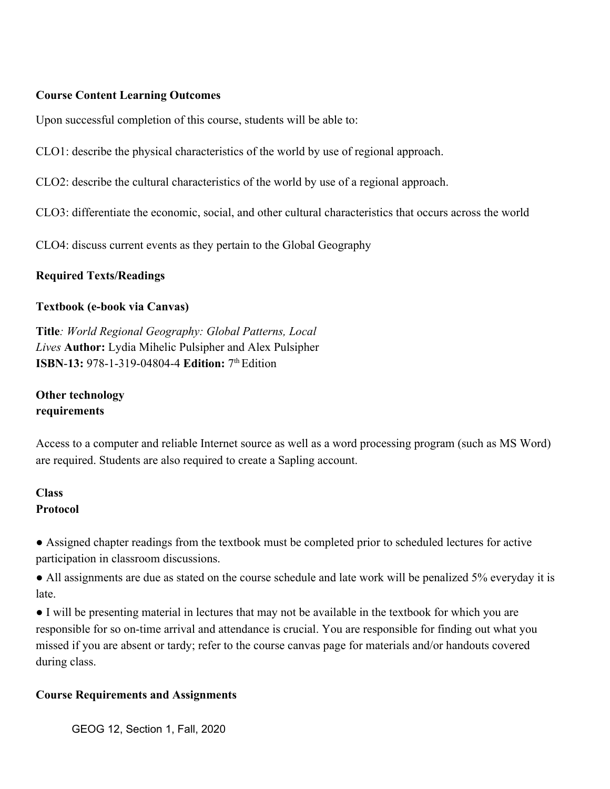### **Course Content Learning Outcomes**

Upon successful completion of this course, students will be able to:

- CLO1: describe the physical characteristics of the world by use of regional approach.
- CLO2: describe the cultural characteristics of the world by use of a regional approach.
- CLO3: differentiate the economic, social, and other cultural characteristics that occurs across the world
- CLO4: discuss current events as they pertain to the Global Geography

### **Required Texts/Readings**

### **Textbook (e-book via Canvas)**

**Title***: World Regional Geography: Global Patterns, Local Lives* **Author:** Lydia Mihelic Pulsipher and Alex Pulsipher **ISBN-13:** 978-1-319-04804-4 **Edition:** 7<sup>th</sup> Edition

# **Other technology requirements**

Access to a computer and reliable Internet source as well as a word processing program (such as MS Word) are required. Students are also required to create a Sapling account.

### **Class Protocol**

● Assigned chapter readings from the textbook must be completed prior to scheduled lectures for active participation in classroom discussions.

• All assignments are due as stated on the course schedule and late work will be penalized 5% everyday it is late.

● I will be presenting material in lectures that may not be available in the textbook for which you are responsible for so on-time arrival and attendance is crucial. You are responsible for finding out what you missed if you are absent or tardy; refer to the course canvas page for materials and/or handouts covered during class.

#### **Course Requirements and Assignments**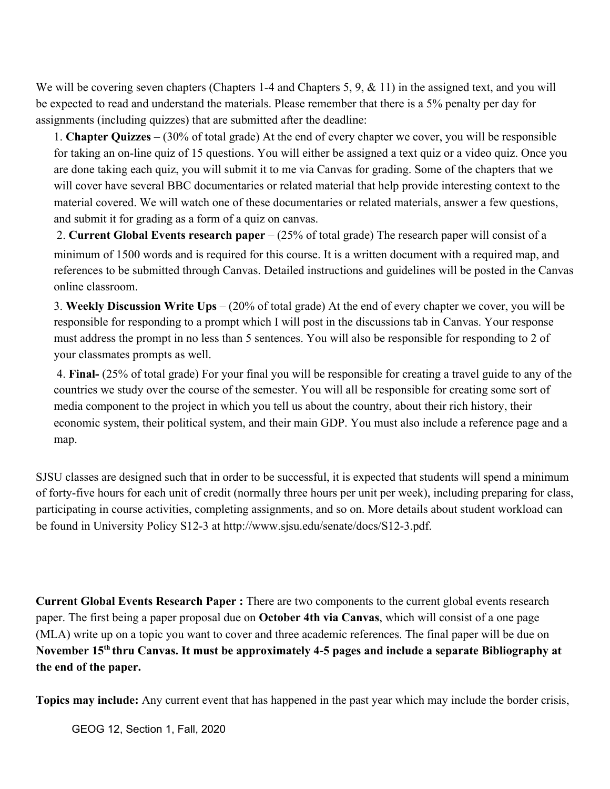We will be covering seven chapters (Chapters 1-4 and Chapters 5, 9, & 11) in the assigned text, and you will be expected to read and understand the materials. Please remember that there is a 5% penalty per day for assignments (including quizzes) that are submitted after the deadline:

1. **Chapter Quizzes** – (30% of total grade) At the end of every chapter we cover, you will be responsible for taking an on-line quiz of 15 questions. You will either be assigned a text quiz or a video quiz. Once you are done taking each quiz, you will submit it to me via Canvas for grading. Some of the chapters that we will cover have several BBC documentaries or related material that help provide interesting context to the material covered. We will watch one of these documentaries or related materials, answer a few questions, and submit it for grading as a form of a quiz on canvas.

 2. **Current Global Events research paper** – (25% of total grade) The research paper will consist of a minimum of 1500 words and is required for this course. It is a written document with a required map, and references to be submitted through Canvas. Detailed instructions and guidelines will be posted in the Canvas online classroom.

3. **Weekly Discussion Write Ups** – (20% of total grade) At the end of every chapter we cover, you will be responsible for responding to a prompt which I will post in the discussions tab in Canvas. Your response must address the prompt in no less than 5 sentences. You will also be responsible for responding to 2 of your classmates prompts as well.

 4. **Final-** (25% of total grade) For your final you will be responsible for creating a travel guide to any of the countries we study over the course of the semester. You will all be responsible for creating some sort of media component to the project in which you tell us about the country, about their rich history, their economic system, their political system, and their main GDP. You must also include a reference page and a map.

SJSU classes are designed such that in order to be successful, it is expected that students will spend a minimum of forty-five hours for each unit of credit (normally three hours per unit per week), including preparing for class, participating in course activities, completing assignments, and so on. More details about student workload can be found in University Policy S12-3 at http://www.sjsu.edu/senate/docs/S12-3.pdf.

**Current Global Events Research Paper :** There are two components to the current global events research paper. The first being a paper proposal due on **October 4th via Canvas**, which will consist of a one page (MLA) write up on a topic you want to cover and three academic references. The final paper will be due on **November 15th thru Canvas. It must be approximately 4-5 pages and include a separate Bibliography at the end of the paper.**

**Topics may include:** Any current event that has happened in the past year which may include the border crisis,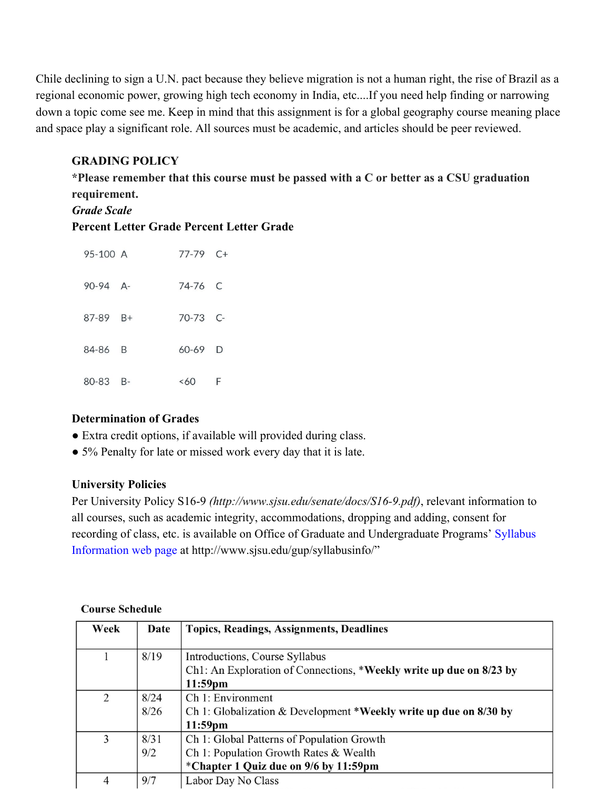Chile declining to sign a U.N. pact because they believe migration is not a human right, the rise of Brazil as a regional economic power, growing high tech economy in India, etc....If you need help finding or narrowing down a topic come see me. Keep in mind that this assignment is for a global geography course meaning place and space play a significant role. All sources must be academic, and articles should be peer reviewed.

# **GRADING POLICY**

**\*Please remember that this course must be passed with a C or better as a CSU graduation requirement.** *Grade Scale*

# **Percent Letter Grade Percent Letter Grade**

| $95-100$ A |      | $77-79$ C+ |   |
|------------|------|------------|---|
| $90-94$ A- |      | 74-76 C    |   |
| $87-89$ B+ |      | 70-73 C-   |   |
| 84-86 B    |      | 60-69      | D |
| 80-83      | $B-$ | &50        | F |

# **Determination of Grades**

- Extra credit options, if available will provided during class.
- 5% Penalty for late or missed work every day that it is late.

# **University Policies**

Per University Policy S16-9 *(http://www.sjsu.edu/senate/docs/S16-9.pdf)*, relevant information to all courses, such as academic integrity, accommodations, dropping and adding, consent for recording of class, etc. is available on Office of Graduate and Undergraduate Programs' Syllabus Information web page at http://www.sjsu.edu/gup/syllabusinfo/"

# **Course Schedule**

| Week | Date | <b>Topics, Readings, Assignments, Deadlines</b>                     |  |
|------|------|---------------------------------------------------------------------|--|
|      |      |                                                                     |  |
|      | 8/19 | Introductions, Course Syllabus                                      |  |
|      |      | Ch1: An Exploration of Connections, *Weekly write up due on 8/23 by |  |
|      |      | $11:59$ pm                                                          |  |
| 2    | 8/24 | Ch 1: Environment                                                   |  |
|      | 8/26 | Ch 1: Globalization & Development *Weekly write up due on 8/30 by   |  |
|      |      | $11:59$ pm                                                          |  |
| 3    | 8/31 | Ch 1: Global Patterns of Population Growth                          |  |
|      | 9/2  | Ch 1: Population Growth Rates & Wealth                              |  |
|      |      | *Chapter 1 Quiz due on 9/6 by 11:59pm                               |  |
|      | 9/7  | Labor Day No Class                                                  |  |